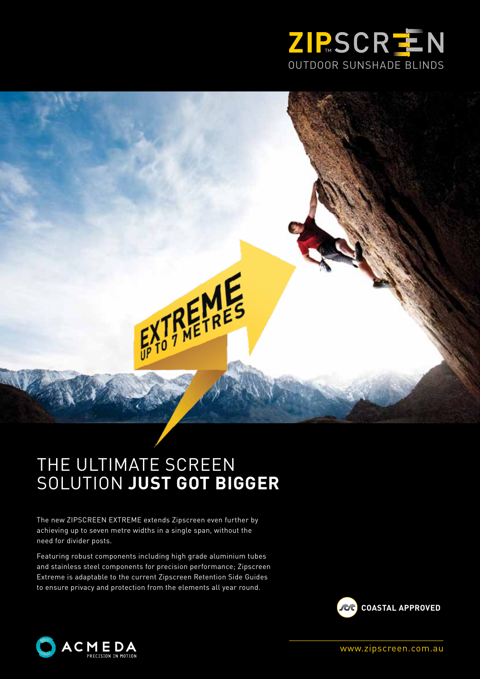

## THE ULTIMATE SCREEN SOLUTION **JUST GOT BIGGER**

TREMES

The new ZIPSCREEN EXTREME extends Zipscreen even further by achieving up to seven metre widths in a single span, without the need for divider posts.

Featuring robust components including high grade aluminium tubes and stainless steel components for precision performance; Zipscreen Extreme is adaptable to the current Zipscreen Retention Side Guides to ensure privacy and protection from the elements all year round.





www.zipscreen.com.au